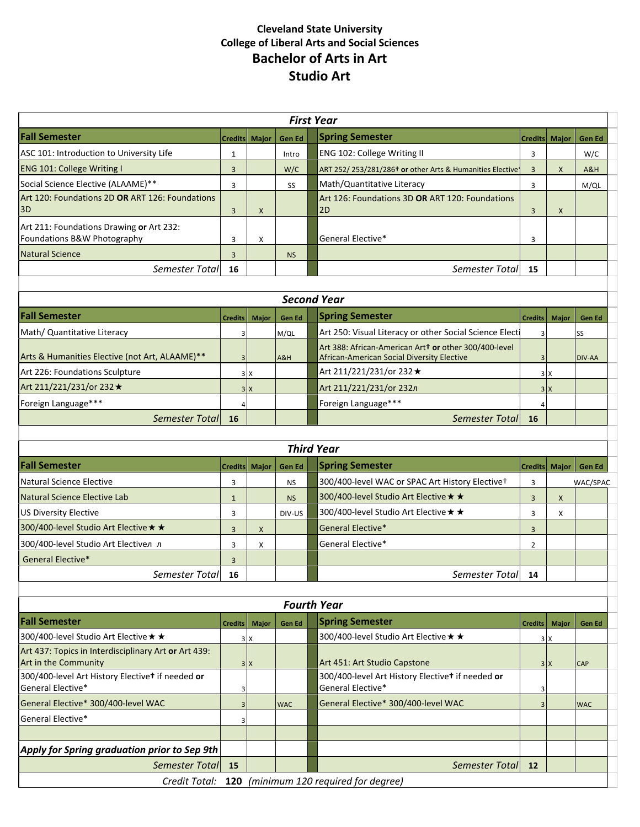# **Cleveland State University College of Liberal Arts and Social Sciences Bachelor of Arts in Art Studio Art**

|                                                                              |                         |               |               | <b>First Year</b>                                                                                   |                |              |               |
|------------------------------------------------------------------------------|-------------------------|---------------|---------------|-----------------------------------------------------------------------------------------------------|----------------|--------------|---------------|
| <b>Fall Semester</b>                                                         |                         | Credits Major | Gen Ed        | <b>Spring Semester</b>                                                                              | <b>Credits</b> | <b>Major</b> | Gen Ed        |
| ASC 101: Introduction to University Life                                     | 1                       |               | Intro         | ENG 102: College Writing II                                                                         | 3              |              | W/C           |
| ENG 101: College Writing I                                                   | 3                       |               | W/C           | ART 252/253/281/286 <sup>t</sup> or other Arts & Humanities Elective                                | $\overline{3}$ | X            | A&H           |
| Social Science Elective (ALAAME)**                                           | 3                       |               | SS            | Math/Quantitative Literacy                                                                          | 3              |              | M/QL          |
| Art 120: Foundations 2D OR ART 126: Foundations<br>3D                        | 3                       | X             |               | Art 126: Foundations 3D OR ART 120: Foundations<br>2D                                               | 3              | X            |               |
| Art 211: Foundations Drawing or Art 232:<br>Foundations B&W Photography      | 3                       | X             |               | General Elective*                                                                                   | 3              |              |               |
| <b>Natural Science</b>                                                       | 3                       |               | <b>NS</b>     |                                                                                                     |                |              |               |
| Semester Total                                                               | 16                      |               |               | Semester Total                                                                                      | 15             |              |               |
|                                                                              |                         |               |               |                                                                                                     |                |              |               |
|                                                                              |                         |               |               | <b>Second Year</b>                                                                                  |                |              |               |
| <b>Fall Semester</b>                                                         | <b>Credits</b>          | <b>Major</b>  | <b>Gen Ed</b> | <b>Spring Semester</b>                                                                              | <b>Credits</b> | <b>Major</b> | <b>Gen Ed</b> |
| Math/ Quantitative Literacy                                                  | 3                       |               | M/QL          | Art 250: Visual Literacy or other Social Science Electi                                             | 3              |              | SS            |
| Arts & Humanities Elective (not Art, ALAAME)**                               | 3                       |               | A&H           | Art 388: African-American Art+ or other 300/400-level<br>African-American Social Diversity Elective | 3              |              | DIV-AA        |
| Art 226: Foundations Sculpture                                               |                         | 3 X           |               | Art 211/221/231/or 232 *                                                                            |                | 3x           |               |
| Art 211/221/231/or 232 *                                                     |                         | 3 X           |               | Art 211/221/231/or 232л                                                                             |                | 3x           |               |
| Foreign Language***                                                          | $\overline{4}$          |               |               | Foreign Language***                                                                                 |                |              |               |
| <b>Semester Total</b>                                                        | 16                      |               |               | <b>Semester Total</b>                                                                               | 16             |              |               |
|                                                                              |                         |               |               |                                                                                                     |                |              |               |
|                                                                              |                         |               |               | <b>Third Year</b>                                                                                   |                |              |               |
| <b>Fall Semester</b>                                                         |                         | Credits Major | Gen Ed        | <b>Spring Semester</b>                                                                              | <b>Credits</b> | <b>Major</b> | Gen Ed        |
| Natural Science Elective                                                     | 3                       |               | <b>NS</b>     | 300/400-level WAC or SPAC Art History Electivet                                                     | 3              |              | WAC/SPAC      |
| Natural Science Elective Lab                                                 | $\mathbf{1}$            |               | <b>NS</b>     | 300/400-level Studio Art Elective * *                                                               | $\mathbf{3}$   | X            |               |
| US Diversity Elective                                                        | 3                       |               | DIV-US        | 300/400-level Studio Art Elective ★ ★                                                               | 3              | X            |               |
| 300/400-level Studio Art Elective * *                                        | $\overline{3}$          | X             |               | General Elective*                                                                                   | $\mathbf{3}$   |              |               |
| 300/400-level Studio Art Electiveл л                                         | 3                       | X             |               | General Elective*                                                                                   | $\overline{2}$ |              |               |
| General Elective*                                                            | 3                       |               |               |                                                                                                     |                |              |               |
| Semester Total                                                               | 16                      |               |               | Semester Total 14                                                                                   |                |              |               |
|                                                                              |                         |               |               |                                                                                                     |                |              |               |
|                                                                              |                         |               |               | <b>Fourth Year</b>                                                                                  |                |              |               |
| <b>Fall Semester</b>                                                         | <b>Credits</b>          | Major         | <b>Gen Ed</b> | <b>Spring Semester</b>                                                                              | <b>Credits</b> | <b>Major</b> | Gen Ed        |
| 300/400-level Studio Art Elective ★ ★                                        |                         | 3 x           |               | 300/400-level Studio Art Elective * *                                                               |                | 3x           |               |
| Art 437: Topics in Interdisciplinary Art or Art 439:<br>Art in the Community |                         | 3 X           |               | Art 451: Art Studio Capstone                                                                        |                | 3x           | <b>CAP</b>    |
| 300/400-level Art History Electivet if needed or<br>General Elective*        | 3                       |               |               | 300/400-level Art History Electivet if needed or<br>General Elective*                               | 3              |              |               |
| General Elective* 300/400-level WAC                                          | $\overline{\mathbf{3}}$ |               | <b>WAC</b>    | General Elective* 300/400-level WAC                                                                 | $\overline{3}$ |              | <b>WAC</b>    |
| General Elective*                                                            | 3                       |               |               |                                                                                                     |                |              |               |
|                                                                              |                         |               |               |                                                                                                     |                |              |               |
| Apply for Spring graduation prior to Sep 9th                                 |                         |               |               |                                                                                                     |                |              |               |
| Semester Total 15                                                            |                         |               |               | <b>Semester Total</b>                                                                               | <b>12</b>      |              |               |
|                                                                              |                         |               |               | Credit Total: 120 (minimum 120 required for degree)                                                 |                |              |               |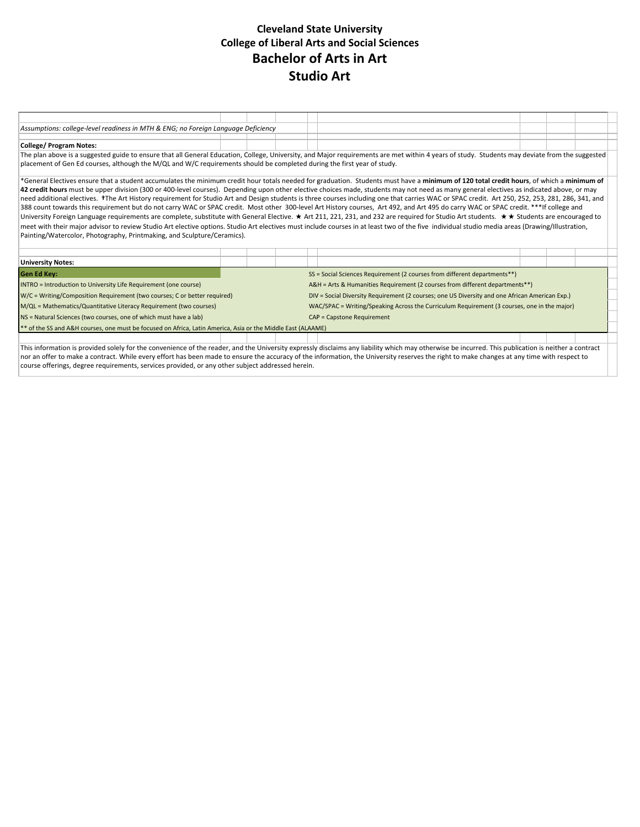## **Cleveland State University College of Liberal Arts and Social Sciences Bachelor of Arts in Art Studio Art**

| Assumptions: college-level readiness in MTH & ENG; no Foreign Language Deficiency                                                                                                                                                                                                                                                                                                                                                                                                                                                                                                                                                                                                                                                                                                                                                                                                                                                                                                                                                                                                                                                                                                                                                                             |  |  |  |                                                                                                |  |  |  |  |  |
|---------------------------------------------------------------------------------------------------------------------------------------------------------------------------------------------------------------------------------------------------------------------------------------------------------------------------------------------------------------------------------------------------------------------------------------------------------------------------------------------------------------------------------------------------------------------------------------------------------------------------------------------------------------------------------------------------------------------------------------------------------------------------------------------------------------------------------------------------------------------------------------------------------------------------------------------------------------------------------------------------------------------------------------------------------------------------------------------------------------------------------------------------------------------------------------------------------------------------------------------------------------|--|--|--|------------------------------------------------------------------------------------------------|--|--|--|--|--|
| <b>College/ Program Notes:</b>                                                                                                                                                                                                                                                                                                                                                                                                                                                                                                                                                                                                                                                                                                                                                                                                                                                                                                                                                                                                                                                                                                                                                                                                                                |  |  |  |                                                                                                |  |  |  |  |  |
| The plan above is a suggested guide to ensure that all General Education, College, University, and Major requirements are met within 4 years of study. Students may deviate from the suggested<br>placement of Gen Ed courses, although the M/QL and W/C requirements should be completed during the first year of study.                                                                                                                                                                                                                                                                                                                                                                                                                                                                                                                                                                                                                                                                                                                                                                                                                                                                                                                                     |  |  |  |                                                                                                |  |  |  |  |  |
| *General Electives ensure that a student accumulates the minimum credit hour totals needed for graduation. Students must have a minimum of 120 total credit hours, of which a minimum of<br>42 credit hours must be upper division (300 or 400-level courses). Depending upon other elective choices made, students may not need as many general electives as indicated above, or may<br>need additional electives. TThe Art History requirement for Studio Art and Design students is three courses including one that carries WAC or SPAC credit. Art 250, 252, 253, 281, 286, 341, and<br>388 count towards this requirement but do not carry WAC or SPAC credit. Most other 300-level Art History courses, Art 492, and Art 495 do carry WAC or SPAC credit. ***If college and<br>University Foreign Language requirements are complete, substitute with General Elective. ★ Art 211, 221, 231, and 232 are required for Studio Art students. ★★ Students are encouraged to<br>meet with their major advisor to review Studio Art elective options. Studio Art electives must include courses in at least two of the five individual studio media areas (Drawing/Illustration,<br>Painting/Watercolor, Photography, Printmaking, and Sculpture/Ceramics). |  |  |  |                                                                                                |  |  |  |  |  |
| <b>University Notes:</b>                                                                                                                                                                                                                                                                                                                                                                                                                                                                                                                                                                                                                                                                                                                                                                                                                                                                                                                                                                                                                                                                                                                                                                                                                                      |  |  |  |                                                                                                |  |  |  |  |  |
| <b>Gen Ed Key:</b>                                                                                                                                                                                                                                                                                                                                                                                                                                                                                                                                                                                                                                                                                                                                                                                                                                                                                                                                                                                                                                                                                                                                                                                                                                            |  |  |  | SS = Social Sciences Requirement (2 courses from different departments**)                      |  |  |  |  |  |
| INTRO = Introduction to University Life Requirement (one course)                                                                                                                                                                                                                                                                                                                                                                                                                                                                                                                                                                                                                                                                                                                                                                                                                                                                                                                                                                                                                                                                                                                                                                                              |  |  |  | A&H = Arts & Humanities Requirement (2 courses from different departments**)                   |  |  |  |  |  |
| W/C = Writing/Composition Requirement (two courses; C or better required)                                                                                                                                                                                                                                                                                                                                                                                                                                                                                                                                                                                                                                                                                                                                                                                                                                                                                                                                                                                                                                                                                                                                                                                     |  |  |  | DIV = Social Diversity Requirement (2 courses; one US Diversity and one African American Exp.) |  |  |  |  |  |
| M/QL = Mathematics/Quantitative Literacy Requirement (two courses)                                                                                                                                                                                                                                                                                                                                                                                                                                                                                                                                                                                                                                                                                                                                                                                                                                                                                                                                                                                                                                                                                                                                                                                            |  |  |  | WAC/SPAC = Writing/Speaking Across the Curriculum Requirement (3 courses, one in the major)    |  |  |  |  |  |
| NS = Natural Sciences (two courses, one of which must have a lab)                                                                                                                                                                                                                                                                                                                                                                                                                                                                                                                                                                                                                                                                                                                                                                                                                                                                                                                                                                                                                                                                                                                                                                                             |  |  |  | CAP = Capstone Requirement                                                                     |  |  |  |  |  |
| ** of the SS and A&H courses, one must be focused on Africa, Latin America, Asia or the Middle East (ALAAME)                                                                                                                                                                                                                                                                                                                                                                                                                                                                                                                                                                                                                                                                                                                                                                                                                                                                                                                                                                                                                                                                                                                                                  |  |  |  |                                                                                                |  |  |  |  |  |
|                                                                                                                                                                                                                                                                                                                                                                                                                                                                                                                                                                                                                                                                                                                                                                                                                                                                                                                                                                                                                                                                                                                                                                                                                                                               |  |  |  |                                                                                                |  |  |  |  |  |
| This information is provided solely for the convenience of the reader, and the University expressly disclaims any liability which may otherwise be incurred. This publication is neither a contract<br>nor an offer to make a contract. While every effort has been made to ensure the accuracy of the information, the University reserves the right to make changes at any time with respect to<br>course offerings, degree requirements, services provided, or any other subject addressed herein.                                                                                                                                                                                                                                                                                                                                                                                                                                                                                                                                                                                                                                                                                                                                                         |  |  |  |                                                                                                |  |  |  |  |  |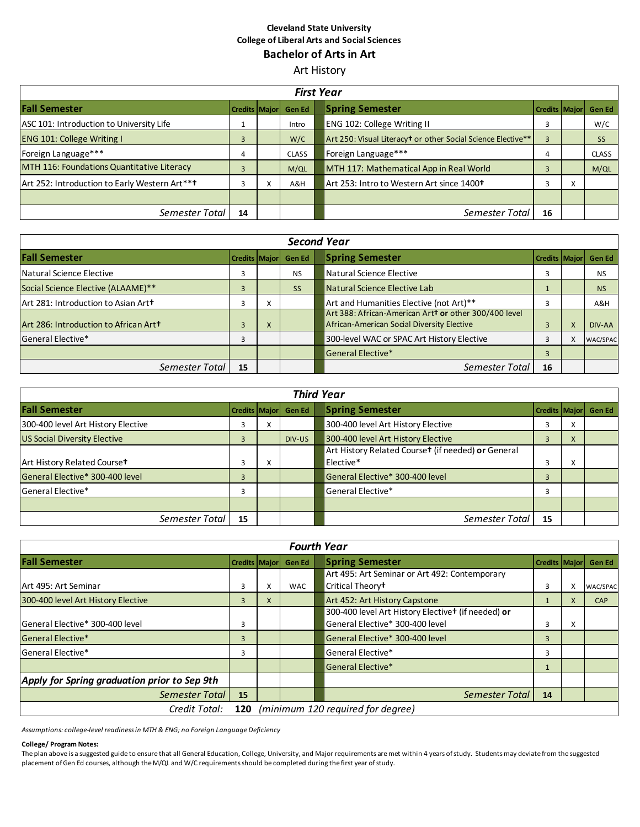#### **Cleveland State University College of Liberal Arts and Social Sciences Bachelor of Arts in Art**

Art History

| <b>First Year</b>                             |                      |           |               |  |                                                                                      |                      |           |              |
|-----------------------------------------------|----------------------|-----------|---------------|--|--------------------------------------------------------------------------------------|----------------------|-----------|--------------|
| <b>Fall Semester</b>                          | <b>Credits Major</b> |           | <b>Gen Ed</b> |  | <b>Spring Semester</b>                                                               | <b>Credits Major</b> |           | Gen Ed       |
| ASC 101: Introduction to University Life      |                      |           | Intro         |  | <b>ENG 102: College Writing II</b>                                                   | 3                    |           | W/C          |
| <b>ENG 101: College Writing I</b>             |                      |           | W/C           |  | Art 250: Visual Literacy <sup>†</sup> or other Social Science Elective <sup>**</sup> | 3                    |           | <b>SS</b>    |
| Foreign Language***                           | 4                    |           | <b>CLASS</b>  |  | Foreign Language***                                                                  | 4                    |           | <b>CLASS</b> |
| MTH 116: Foundations Quantitative Literacy    |                      |           | M/QL          |  | MTH 117: Mathematical App in Real World                                              | 3                    |           | M/QL         |
| Art 252: Introduction to Early Western Art*** |                      | $\lambda$ | A&H           |  | Art 253: Intro to Western Art since 1400 <sup>+</sup>                                | 3                    | $\lambda$ |              |
|                                               |                      |           |               |  |                                                                                      |                      |           |              |
| Semester Total                                | 14                   |           |               |  | Semester Total                                                                       | 16                   |           |              |

| <b>Second Year</b>                    |                      |           |           |                                                                                                               |               |  |  |  |  |
|---------------------------------------|----------------------|-----------|-----------|---------------------------------------------------------------------------------------------------------------|---------------|--|--|--|--|
| <b>Fall Semester</b>                  | <b>Credits Major</b> |           | Gen Ed    | <b>Spring Semester</b><br><b>Credits Major</b>                                                                | <b>Gen Ed</b> |  |  |  |  |
| Natural Science Elective              |                      |           | <b>NS</b> | Natural Science Elective<br>3                                                                                 | <b>NS</b>     |  |  |  |  |
| Social Science Elective (ALAAME)**    |                      |           | <b>SS</b> | Natural Science Elective Lab                                                                                  | <b>NS</b>     |  |  |  |  |
| Art 281: Introduction to Asian Art+   |                      | $\lambda$ |           | Art and Humanities Elective (not Art)**<br>3                                                                  | A&H           |  |  |  |  |
| Art 286: Introduction to African Art+ |                      | X         |           | Art 388: African-American Artt or other 300/400 level<br>African-American Social Diversity Elective<br>X<br>3 | DIV-AA        |  |  |  |  |
| General Elective*                     |                      |           |           | 300-level WAC or SPAC Art History Elective<br>3                                                               | WAC/SPAC      |  |  |  |  |
|                                       |                      |           |           | <b>Seneral Elective*</b><br>3                                                                                 |               |  |  |  |  |
| Semester Total                        | 15                   |           |           | Semester Total<br>16                                                                                          |               |  |  |  |  |

| <b>Third Year</b>                   |    |   |                      |  |                                                    |                      |   |               |  |
|-------------------------------------|----|---|----------------------|--|----------------------------------------------------|----------------------|---|---------------|--|
| <b>Fall Semester</b>                |    |   | Credits Major Gen Ed |  | <b>Spring Semester</b>                             | <b>Credits Maior</b> |   | <b>Gen Ed</b> |  |
| 300-400 level Art History Elective  | 3  | ^ |                      |  | 300-400 level Art History Elective                 | 3                    | X |               |  |
| <b>US Social Diversity Elective</b> | 3  |   | DIV-US               |  | 300-400 level Art History Elective                 | 3                    | X |               |  |
|                                     |    |   |                      |  | Art History Related Courset (if needed) or General |                      |   |               |  |
| Art History Related Courset         | 3  | х |                      |  | Elective*                                          | 3                    | X |               |  |
| General Elective* 300-400 level     | 3  |   |                      |  | General Elective* 300-400 level                    | 3                    |   |               |  |
| <b>General Elective*</b>            | 3  |   |                      |  | <b>General Elective*</b>                           |                      |   |               |  |
|                                     |    |   |                      |  |                                                    |                      |   |               |  |
| Semester Total                      | 15 |   |                      |  | Semester Total                                     | 15                   |   |               |  |

|                                                           | <b>Fourth Year</b> |   |            |  |                                                                |                      |   |            |  |  |  |
|-----------------------------------------------------------|--------------------|---|------------|--|----------------------------------------------------------------|----------------------|---|------------|--|--|--|
| <b>Fall Semester</b>                                      | Credits Major      |   | Gen Ed     |  | <b>Spring Semester</b>                                         | <b>Credits Major</b> |   | Gen Ed     |  |  |  |
|                                                           |                    |   |            |  | Art 495: Art Seminar or Art 492: Contemporary                  |                      |   |            |  |  |  |
| Art 495: Art Seminar                                      | 3                  | x | <b>WAC</b> |  | Critical Theory <sup>t</sup>                                   | 3                    | X | WAC/SPAC   |  |  |  |
| 300-400 level Art History Elective                        | $\overline{3}$     | X |            |  | Art 452: Art History Capstone                                  |                      | X | <b>CAP</b> |  |  |  |
|                                                           |                    |   |            |  | 300-400 level Art History Elective <sup>+</sup> (if needed) or |                      |   |            |  |  |  |
| General Elective* 300-400 level                           | 3                  |   |            |  | General Elective* 300-400 level                                | 3                    | X |            |  |  |  |
| <b>General Elective*</b>                                  | $\overline{3}$     |   |            |  | General Elective* 300-400 level                                | 3                    |   |            |  |  |  |
| General Elective*                                         | 3                  |   |            |  | General Elective*                                              | 3                    |   |            |  |  |  |
|                                                           |                    |   |            |  | <b>General Elective*</b>                                       |                      |   |            |  |  |  |
| Apply for Spring graduation prior to Sep 9th              |                    |   |            |  |                                                                |                      |   |            |  |  |  |
| Semester Total                                            | 15                 |   |            |  | Semester Total                                                 | 14                   |   |            |  |  |  |
| (minimum 120 required for degree)<br>Credit Total:<br>120 |                    |   |            |  |                                                                |                      |   |            |  |  |  |

*Assumptions: college-level readiness in MTH & ENG; no Foreign Language Deficiency*

#### **College/ Program Notes:**

The plan above is a suggested guide to ensure that all General Education, College, University, and Major requirements are met within 4 years of study. Students may deviate from the suggested placement of Gen Ed courses, although the M/QL and W/C requirements should be completed during the first year of study.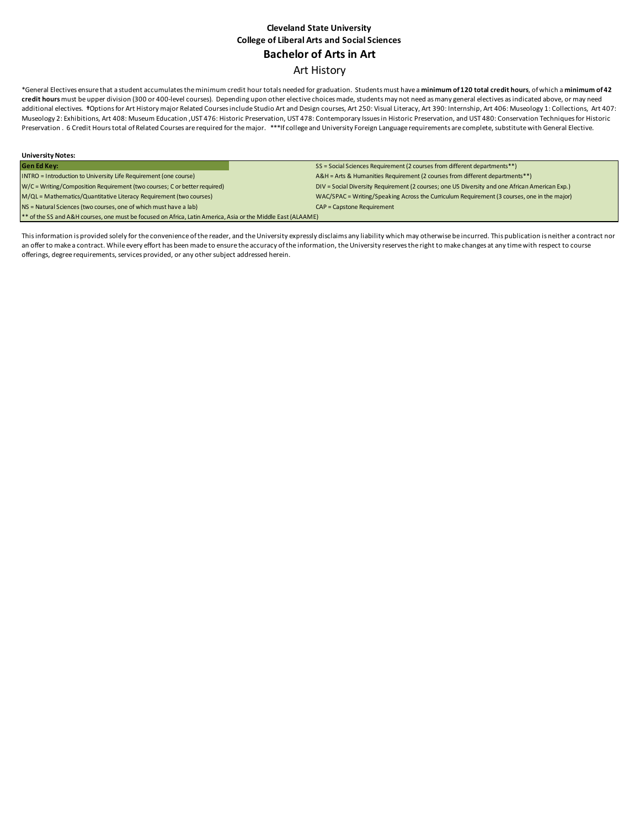### **Cleveland State University College of Liberal Arts and Social Sciences Bachelor of Arts in Art** Art History

\*General Electives ensure that a student accumulates the minimum credit hour totals needed for graduation. Students must have a **minimum of 120 total credit hours**, of which a **minimum of 42 credit hours** must be upper division (300 or 400-level courses). Depending upon other elective choices made, students may not need as many general electives as indicated above, or may need additional electives. *†*Options for Art History major Related Courses include Studio Art and Design courses, Art 250: Visual Literacy, Art 390: Internship, Art 406: Museology 1: Collections, Art 407: Museology 2: Exhibitions, Art 408: Museum Education ,UST 476: Historic Preservation, UST 478: Contemporary Issues in Historic Preservation, and UST 480: Conservation Techniques for Historic Preservation . 6 Credit Hours total of Related Courses are required for the major. \*\*\*If college and University Foreign Language requirements are complete, substitute with General Elective.

| <b>University Notes:</b>                                                                                     |                                                                                                |  |  |  |  |  |
|--------------------------------------------------------------------------------------------------------------|------------------------------------------------------------------------------------------------|--|--|--|--|--|
| <b>Gen Ed Key:</b>                                                                                           | SS = Social Sciences Requirement (2 courses from different departments**)                      |  |  |  |  |  |
| INTRO = Introduction to University Life Requirement (one course)                                             | A&H = Arts & Humanities Requirement (2 courses from different departments**)                   |  |  |  |  |  |
| W/C = Writing/Composition Requirement (two courses; C or better required)                                    | DIV = Social Diversity Requirement (2 courses; one US Diversity and one African American Exp.) |  |  |  |  |  |
| M/QL = Mathematics/Quantitative Literacy Requirement (two courses)                                           | WAC/SPAC = Writing/Speaking Across the Curriculum Requirement (3 courses, one in the major)    |  |  |  |  |  |
| NS = Natural Sciences (two courses, one of which must have a lab)                                            | <b>CAP = Capstone Requirement</b>                                                              |  |  |  |  |  |
| ** of the SS and A&H courses, one must be focused on Africa, Latin America, Asia or the Middle East (ALAAME) |                                                                                                |  |  |  |  |  |

This information is provided solely for the convenience of the reader, and the University expressly disclaims any liability which may otherwise be incurred. This publication is neither a contract nor an offer to make a contract. While every effort has been made to ensure the accuracy of the information, the University reserves the right to make changes at any time with respect to course offerings, degree requirements, services provided, or any other subject addressed herein.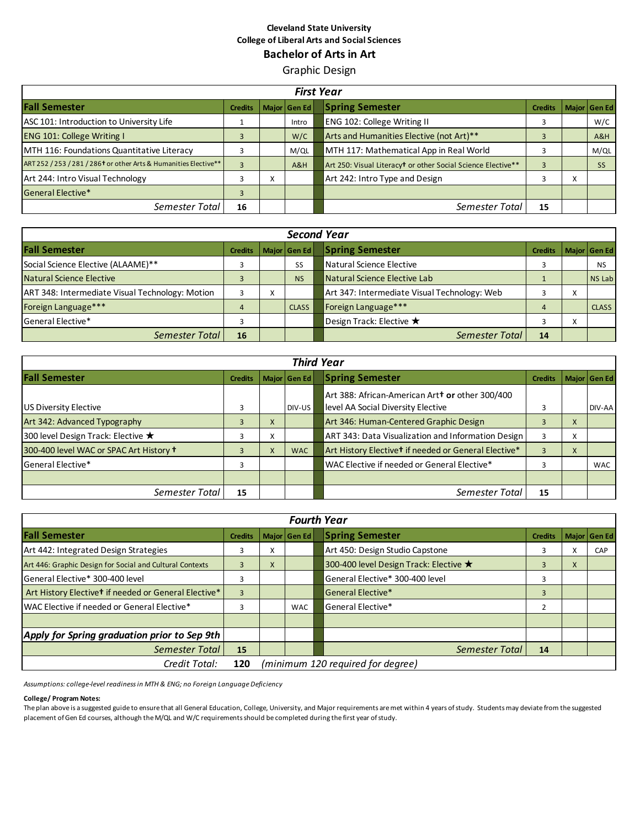#### **Cleveland State University College of Liberal Arts and Social Sciences Bachelor of Arts in Art**

Graphic Design

|                                                                              | <b>First Year</b> |   |              |  |                                                                          |                |                          |              |  |  |
|------------------------------------------------------------------------------|-------------------|---|--------------|--|--------------------------------------------------------------------------|----------------|--------------------------|--------------|--|--|
| <b>Fall Semester</b>                                                         | <b>Credits</b>    |   | Major Gen Ed |  | <b>Spring Semester</b>                                                   | <b>Credits</b> |                          | Major Gen Ed |  |  |
| ASC 101: Introduction to University Life                                     |                   |   | Intro        |  | <b>ENG 102: College Writing II</b>                                       | 3              |                          | W/C          |  |  |
| <b>ENG 101: College Writing I</b>                                            | 3                 |   | W/C          |  | Arts and Humanities Elective (not Art)**                                 | 3              |                          | A&H          |  |  |
| MTH 116: Foundations Quantitative Literacy                                   |                   |   | M/QL         |  | MTH 117: Mathematical App in Real World                                  |                |                          | M/QL         |  |  |
| ART 252 / 253 / 281 / 286 <sup>t</sup> or other Arts & Humanities Elective** | 3                 |   | A&H          |  | Art 250: Visual Literacy <sup>t</sup> or other Social Science Elective** | $\overline{3}$ |                          | <b>SS</b>    |  |  |
| Art 244: Intro Visual Technology                                             | 3                 | x |              |  | Art 242: Intro Type and Design                                           |                | $\mathbf v$<br>$\lambda$ |              |  |  |
| <b>General Elective*</b>                                                     | 3                 |   |              |  |                                                                          |                |                          |              |  |  |
| Semester Total                                                               | 16                |   |              |  | Semester Total                                                           | 15             |                          |              |  |  |

| <b>Second Year</b>                              |                |   |              |  |                                              |                |                   |              |
|-------------------------------------------------|----------------|---|--------------|--|----------------------------------------------|----------------|-------------------|--------------|
| <b>Fall Semester</b>                            | <b>Credits</b> |   | Major Gen Ed |  | <b>Spring Semester</b>                       | <b>Credits</b> |                   | Major Gen Ed |
| Social Science Elective (ALAAME)**              |                |   | SS           |  | Natural Science Elective                     | 3              |                   | <b>NS</b>    |
| Natural Science Elective                        |                |   | <b>NS</b>    |  | Natural Science Elective Lab                 |                |                   | NS Lab       |
| ART 348: Intermediate Visual Technology: Motion |                | X |              |  | Art 347: Intermediate Visual Technology: Web |                | $\checkmark$<br>v |              |
| Foreign Language***                             | $\overline{4}$ |   | <b>CLASS</b> |  | Foreign Language***                          | $\overline{4}$ |                   | CLASS        |
| l General Elective*                             |                |   |              |  | Design Track: Elective ★                     | 3              | $\checkmark$<br>v |              |
| Semester Total                                  | 16             |   |              |  | Semester Total                               | 14             |                   |              |

| <b>Third Year</b>                       |                |   |              |  |                                                                                               |                |   |              |  |
|-----------------------------------------|----------------|---|--------------|--|-----------------------------------------------------------------------------------------------|----------------|---|--------------|--|
| <b>Fall Semester</b>                    | <b>Credits</b> |   | Major Gen Ed |  | <b>Spring Semester</b>                                                                        | <b>Credits</b> |   | Major Gen Ed |  |
| US Diversity Elective                   | 3              |   | DIV-US       |  | Art 388: African-American Art <b>t or</b> other 300/400<br>level AA Social Diversity Elective |                |   | DIV-AA       |  |
| Art 342: Advanced Typography            | 3              | X |              |  | Art 346: Human-Centered Graphic Design                                                        |                | X |              |  |
| 300 level Design Track: Elective ★      | 3              | X |              |  | ART 343: Data Visualization and Information Design                                            | 3              | X |              |  |
| 300-400 level WAC or SPAC Art History + |                | X | <b>WAC</b>   |  | Art History Elective <sup>t</sup> if needed or General Elective*                              | 3              | X |              |  |
| General Elective*                       | 3              |   |              |  | WAC Elective if needed or General Elective*                                                   | З              |   | <b>WAC</b>   |  |
|                                         |                |   |              |  |                                                                                               |                |   |              |  |
| Semester Total                          | 15             |   |              |  | Semester Total                                                                                | 15             |   |              |  |

| <b>Fourth Year</b>                                               |                |   |              |  |                                        |                |   |              |  |
|------------------------------------------------------------------|----------------|---|--------------|--|----------------------------------------|----------------|---|--------------|--|
| <b>Fall Semester</b>                                             | <b>Credits</b> |   | Major Gen Ed |  | <b>Spring Semester</b>                 | <b>Credits</b> |   | Major Gen Ed |  |
| Art 442: Integrated Design Strategies                            | 3              | X |              |  | Art 450: Design Studio Capstone        | 3              | x | CAP          |  |
| Art 446: Graphic Design for Social and Cultural Contexts         | $\overline{3}$ | X |              |  | 300-400 level Design Track: Elective ★ | 3              | X |              |  |
| General Elective* 300-400 level                                  | 3              |   |              |  | General Elective* 300-400 level        | 3              |   |              |  |
| Art History Elective <sup>t</sup> if needed or General Elective* | $\overline{3}$ |   |              |  | General Elective*                      | 3              |   |              |  |
| WAC Elective if needed or General Elective*                      | 3              |   | <b>WAC</b>   |  | General Elective*                      |                |   |              |  |
|                                                                  |                |   |              |  |                                        |                |   |              |  |
| Apply for Spring graduation prior to Sep 9th                     |                |   |              |  |                                        |                |   |              |  |
| Semester Total                                                   | 15             |   |              |  | Semester Total                         | 14             |   |              |  |
| (minimum 120 required for degree)<br>Credit Total:<br>120        |                |   |              |  |                                        |                |   |              |  |

*Assumptions: college-level readiness in MTH & ENG; no Foreign Language Deficiency*

#### **College/ Program Notes:**

The plan above is a suggested guide to ensure that all General Education, College, University, and Major requirements are met within 4 years of study. Students may deviate from the suggested placement of Gen Ed courses, although the M/QL and W/C requirements should be completed during the first year of study.